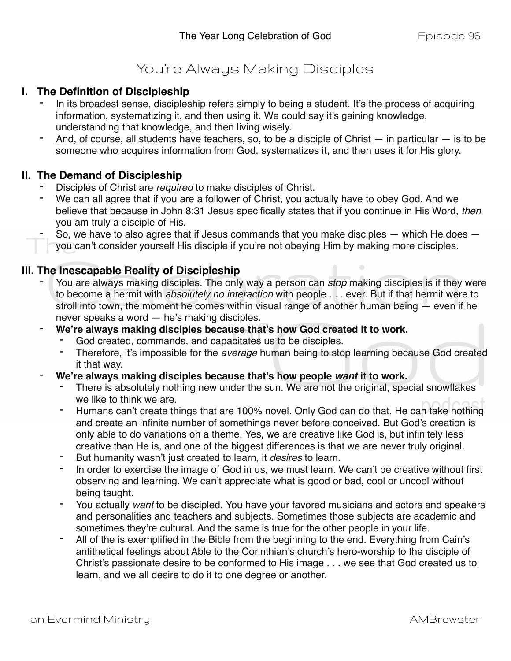## You're Always Making Disciples

## **I. The Definition of Discipleship**

- In its broadest sense, discipleship refers simply to being a student. It's the process of acquiring information, systematizing it, and then using it. We could say it's gaining knowledge, understanding that knowledge, and then living wisely.
- And, of course, all students have teachers, so, to be a disciple of Christ  $-$  in particular  $-$  is to be someone who acquires information from God, systematizes it, and then uses it for His glory.

## **II. The Demand of Discipleship**

- Disciples of Christ are *required* to make disciples of Christ.
- We can all agree that if you are a follower of Christ, you actually have to obey God. And we believe that because in John 8:31 Jesus specifically states that if you continue in His Word, *then* you am truly a disciple of His.
- So, we have to also agree that if Jesus commands that you make disciples  $-$  which He does  $$ you can't consider yourself His disciple if you're not obeying Him by making more disciples.

## **III. The Inescapable Reality of Discipleship**

- You are always making disciples. The only way a person can *stop* making disciples is if they were to become a hermit with *absolutely no interaction* with people . . . ever. But if that hermit were to stroll into town, the moment he comes within visual range of another human being — even if he never speaks a word — he's making disciples.
- We're always making disciples because that's how God created it to work.
	- God created, commands, and capacitates us to be disciples.
	- Therefore, it's impossible for the *average* human being to stop learning because God created it that way.
- **We're always making disciples because that's how people** *want* **it to work.**
	- There is absolutely nothing new under the sun. We are not the original, special snowflakes we like to think we are.
	- Humans can't create things that are 100% novel. Only God can do that. He can take nothing and create an infinite number of somethings never before conceived. But God's creation is only able to do variations on a theme. Yes, we are creative like God is, but infinitely less creative than He is, and one of the biggest differences is that we are never truly original.
	- But humanity wasn't just created to learn, it *desires* to learn.
	- In order to exercise the image of God in us, we must learn. We can't be creative without first observing and learning. We can't appreciate what is good or bad, cool or uncool without being taught.
	- You actually *want* to be discipled. You have your favored musicians and actors and speakers and personalities and teachers and subjects. Sometimes those subjects are academic and sometimes they're cultural. And the same is true for the other people in your life.
	- All of the is exemplified in the Bible from the beginning to the end. Everything from Cain's antithetical feelings about Able to the Corinthian's church's hero-worship to the disciple of Christ's passionate desire to be conformed to His image . . . we see that God created us to learn, and we all desire to do it to one degree or another.